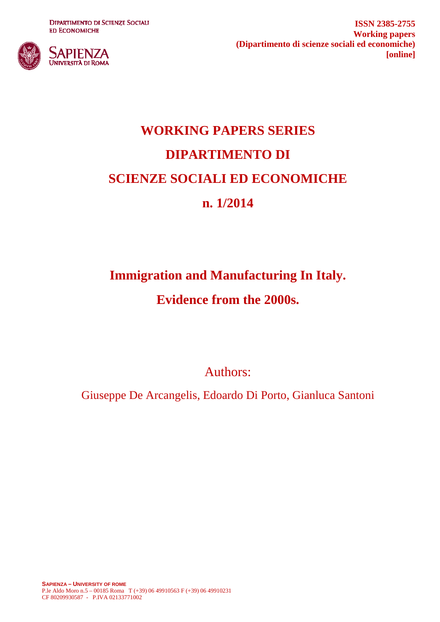**DIPARTIMENTO DI SCIENZE SOCIALI ED ECONOMICHE** 



**ISSN 2385-2755 Working papers (Dipartimento di scienze sociali ed economiche) [online]**

# **WORKING PAPERS SERIES DIPARTIMENTO DI SCIENZE SOCIALI ED ECONOMICHE n. 1/2014**

# **Immigration and Manufacturing In Italy.**

## **Evidence from the 2000s.**

Authors:

Giuseppe De Arcangelis, Edoardo Di Porto, Gianluca Santoni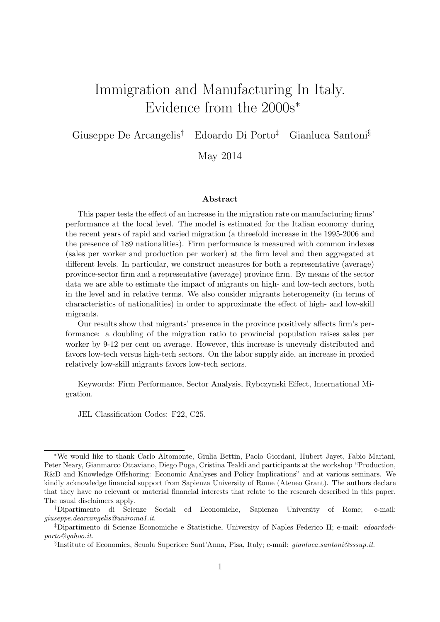## <span id="page-1-0"></span>Immigration and Manufacturing In Italy. Evidence from the 2000s<sup>∗</sup>

Giuseppe De Arcangelis† Edoardo Di Porto‡ Gianluca Santoni§

May 2014

#### Abstract

This paper tests the effect of an increase in the migration rate on manufacturing firms' performance at the local level. The model is estimated for the Italian economy during the recent years of rapid and varied migration (a threefold increase in the 1995-2006 and the presence of 189 nationalities). Firm performance is measured with common indexes (sales per worker and production per worker) at the firm level and then aggregated at different levels. In particular, we construct measures for both a representative (average) province-sector firm and a representative (average) province firm. By means of the sector data we are able to estimate the impact of migrants on high- and low-tech sectors, both in the level and in relative terms. We also consider migrants heterogeneity (in terms of characteristics of nationalities) in order to approximate the effect of high- and low-skill migrants.

Our results show that migrants' presence in the province positively affects firm's performance: a doubling of the migration ratio to provincial population raises sales per worker by 9-12 per cent on average. However, this increase is unevenly distributed and favors low-tech versus high-tech sectors. On the labor supply side, an increase in proxied relatively low-skill migrants favors low-tech sectors.

Keywords: Firm Performance, Sector Analysis, Rybczynski Effect, International Migration.

JEL Classification Codes: F22, C25.

<sup>∗</sup>We would like to thank Carlo Altomonte, Giulia Bettin, Paolo Giordani, Hubert Jayet, Fabio Mariani, Peter Neary, Gianmarco Ottaviano, Diego Puga, Cristina Tealdi and participants at the workshop "Production, R&D and Knowledge Offshoring: Economic Analyses and Policy Implications" and at various seminars. We kindly acknowledge financial support from Sapienza University of Rome (Ateneo Grant). The authors declare that they have no relevant or material financial interests that relate to the research described in this paper. The usual disclaimers apply.

<sup>†</sup>Dipartimento di Scienze Sociali ed Economiche, Sapienza University of Rome; e-mail: giuseppe.dearcangelis@uniroma1.it.

<sup>‡</sup>Dipartimento di Scienze Economiche e Statistiche, University of Naples Federico II; e-mail: edoardodiporto@yahoo.it.

<sup>§</sup> Institute of Economics, Scuola Superiore Sant'Anna, Pisa, Italy; e-mail: gianluca.santoni@sssup.it.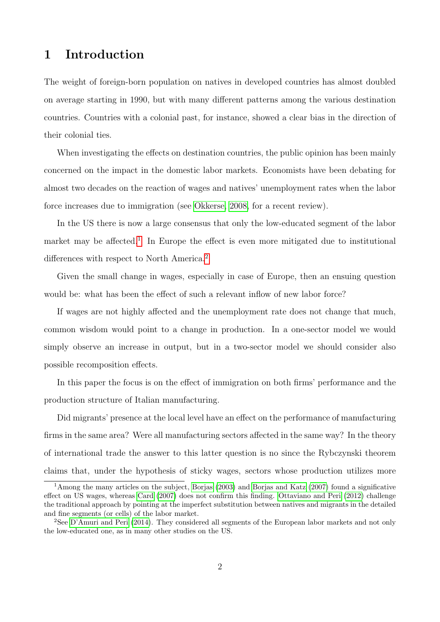#### 1 Introduction

The weight of foreign-born population on natives in developed countries has almost doubled on average starting in 1990, but with many different patterns among the various destination countries. Countries with a colonial past, for instance, showed a clear bias in the direction of their colonial ties.

When investigating the effects on destination countries, the public opinion has been mainly concerned on the impact in the domestic labor markets. Economists have been debating for almost two decades on the reaction of wages and natives' unemployment rates when the labor force increases due to immigration (see [Okkerse, 2008,](#page-28-0) for a recent review).

In the US there is now a large consensus that only the low-educated segment of the labor market may be affected.<sup>[1](#page-1-0)</sup> In Europe the effect is even more mitigated due to institutional differences with respect to North America.<sup>[2](#page-1-0)</sup>

Given the small change in wages, especially in case of Europe, then an ensuing question would be: what has been the effect of such a relevant inflow of new labor force?

If wages are not highly affected and the unemployment rate does not change that much, common wisdom would point to a change in production. In a one-sector model we would simply observe an increase in output, but in a two-sector model we should consider also possible recomposition effects.

In this paper the focus is on the effect of immigration on both firms' performance and the production structure of Italian manufacturing.

Did migrants' presence at the local level have an effect on the performance of manufacturing firms in the same area? Were all manufacturing sectors affected in the same way? In the theory of international trade the answer to this latter question is no since the Rybczynski theorem claims that, under the hypothesis of sticky wages, sectors whose production utilizes more

<sup>1</sup>Among the many articles on the subject, [Borjas](#page-26-0) [\(2003\)](#page-26-0) and [Borjas and Katz](#page-26-1) [\(2007\)](#page-26-1) found a significative effect on US wages, whereas [Card](#page-27-0) [\(2007\)](#page-27-0) does not confirm this finding. [Ottaviano and Peri](#page-28-1) [\(2012\)](#page-28-1) challenge the traditional approach by pointing at the imperfect substitution between natives and migrants in the detailed and fine segments (or cells) of the labor market.

<sup>2</sup>See [D'Amuri and Peri](#page-27-1) [\(2014\)](#page-27-1). They considered all segments of the European labor markets and not only the low-educated one, as in many other studies on the US.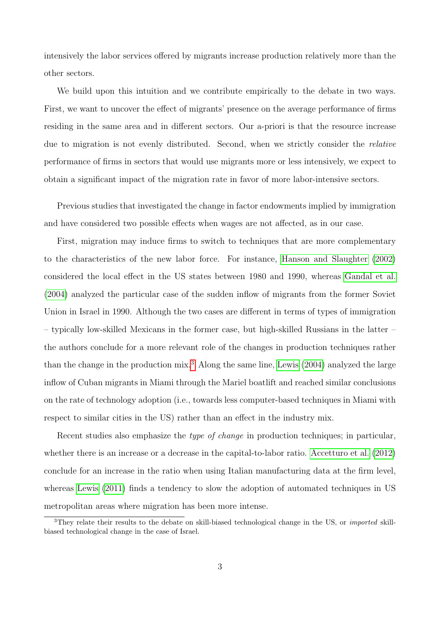intensively the labor services offered by migrants increase production relatively more than the other sectors.

We build upon this intuition and we contribute empirically to the debate in two ways. First, we want to uncover the effect of migrants' presence on the average performance of firms residing in the same area and in different sectors. Our a-priori is that the resource increase due to migration is not evenly distributed. Second, when we strictly consider the relative performance of firms in sectors that would use migrants more or less intensively, we expect to obtain a significant impact of the migration rate in favor of more labor-intensive sectors.

Previous studies that investigated the change in factor endowments implied by immigration and have considered two possible effects when wages are not affected, as in our case.

First, migration may induce firms to switch to techniques that are more complementary to the characteristics of the new labor force. For instance, [Hanson and Slaughter](#page-27-2) [\(2002\)](#page-27-2) considered the local effect in the US states between 1980 and 1990, whereas [Gandal et al.](#page-27-3) [\(2004\)](#page-27-3) analyzed the particular case of the sudden inflow of migrants from the former Soviet Union in Israel in 1990. Although the two cases are different in terms of types of immigration – typically low-skilled Mexicans in the former case, but high-skilled Russians in the latter – the authors conclude for a more relevant role of the changes in production techniques rather than the change in the production mix.<sup>[3](#page-1-0)</sup> Along the same line, [Lewis](#page-28-2)  $(2004)$  analyzed the large inflow of Cuban migrants in Miami through the Mariel boatlift and reached similar conclusions on the rate of technology adoption (i.e., towards less computer-based techniques in Miami with respect to similar cities in the US) rather than an effect in the industry mix.

Recent studies also emphasize the *type of change* in production techniques; in particular, whether there is an increase or a decrease in the capital-to-labor ratio. [Accetturo et al.](#page-26-2) [\(2012\)](#page-26-2) conclude for an increase in the ratio when using Italian manufacturing data at the firm level, whereas [Lewis](#page-28-3) [\(2011\)](#page-28-3) finds a tendency to slow the adoption of automated techniques in US metropolitan areas where migration has been more intense.

<sup>&</sup>lt;sup>3</sup>They relate their results to the debate on skill-biased technological change in the US, or *imported* skillbiased technological change in the case of Israel.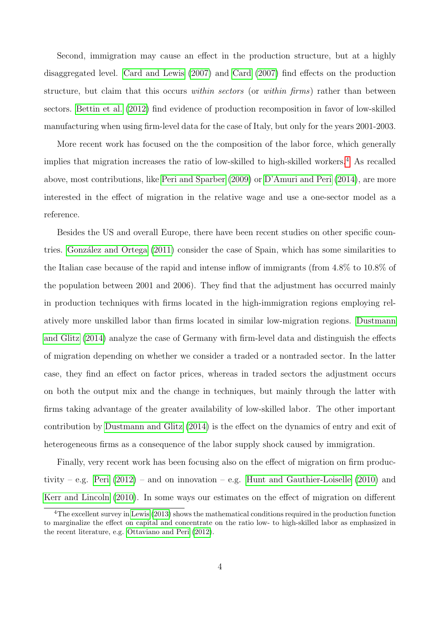Second, immigration may cause an effect in the production structure, but at a highly disaggregated level. [Card and Lewis](#page-27-4) [\(2007\)](#page-27-4) and [Card](#page-27-0) [\(2007\)](#page-27-0) find effects on the production structure, but claim that this occurs within sectors (or within firms) rather than between sectors. [Bettin et al.](#page-26-3) [\(2012\)](#page-26-3) find evidence of production recomposition in favor of low-skilled manufacturing when using firm-level data for the case of Italy, but only for the years 2001-2003.

More recent work has focused on the the composition of the labor force, which generally implies that migration increases the ratio of low-skilled to high-skilled workers.<sup>[4](#page-1-0)</sup> As recalled above, most contributions, like [Peri and Sparber](#page-28-4) [\(2009\)](#page-28-4) or [D'Amuri and Peri](#page-27-1) [\(2014\)](#page-27-1), are more interested in the effect of migration in the relative wage and use a one-sector model as a reference.

Besides the US and overall Europe, there have been recent studies on other specific coun-tries. González and Ortega [\(2011\)](#page-27-5) consider the case of Spain, which has some similarities to the Italian case because of the rapid and intense inflow of immigrants (from 4.8% to 10.8% of the population between 2001 and 2006). They find that the adjustment has occurred mainly in production techniques with firms located in the high-immigration regions employing relatively more unskilled labor than firms located in similar low-migration regions. [Dustmann](#page-27-6) [and Glitz](#page-27-6) [\(2014\)](#page-27-6) analyze the case of Germany with firm-level data and distinguish the effects of migration depending on whether we consider a traded or a nontraded sector. In the latter case, they find an effect on factor prices, whereas in traded sectors the adjustment occurs on both the output mix and the change in techniques, but mainly through the latter with firms taking advantage of the greater availability of low-skilled labor. The other important contribution by [Dustmann and Glitz](#page-27-6) [\(2014\)](#page-27-6) is the effect on the dynamics of entry and exit of heterogeneous firms as a consequence of the labor supply shock caused by immigration.

Finally, very recent work has been focusing also on the effect of migration on firm produc-tivity – e.g. [Peri](#page-28-5)  $(2012)$  – and on innovation – e.g. [Hunt and Gauthier-Loiselle](#page-27-7)  $(2010)$  and [Kerr and Lincoln](#page-28-6) [\(2010\)](#page-28-6). In some ways our estimates on the effect of migration on different

<sup>&</sup>lt;sup>4</sup>The excellent survey in [Lewis](#page-28-7) [\(2013\)](#page-28-7) shows the mathematical conditions required in the production function to marginalize the effect on capital and concentrate on the ratio low- to high-skilled labor as emphasized in the recent literature, e.g. [Ottaviano and Peri](#page-28-1) [\(2012\)](#page-28-1).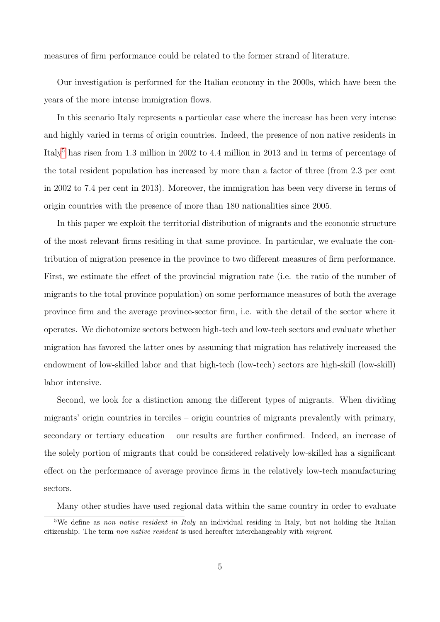measures of firm performance could be related to the former strand of literature.

Our investigation is performed for the Italian economy in the 2000s, which have been the years of the more intense immigration flows.

In this scenario Italy represents a particular case where the increase has been very intense and highly varied in terms of origin countries. Indeed, the presence of non native residents in Italy<sup>[5](#page-1-0)</sup> has risen from 1.3 million in 2002 to 4.4 million in 2013 and in terms of percentage of the total resident population has increased by more than a factor of three (from 2.3 per cent in 2002 to 7.4 per cent in 2013). Moreover, the immigration has been very diverse in terms of origin countries with the presence of more than 180 nationalities since 2005.

In this paper we exploit the territorial distribution of migrants and the economic structure of the most relevant firms residing in that same province. In particular, we evaluate the contribution of migration presence in the province to two different measures of firm performance. First, we estimate the effect of the provincial migration rate (i.e. the ratio of the number of migrants to the total province population) on some performance measures of both the average province firm and the average province-sector firm, i.e. with the detail of the sector where it operates. We dichotomize sectors between high-tech and low-tech sectors and evaluate whether migration has favored the latter ones by assuming that migration has relatively increased the endowment of low-skilled labor and that high-tech (low-tech) sectors are high-skill (low-skill) labor intensive.

Second, we look for a distinction among the different types of migrants. When dividing migrants' origin countries in terciles – origin countries of migrants prevalently with primary, secondary or tertiary education – our results are further confirmed. Indeed, an increase of the solely portion of migrants that could be considered relatively low-skilled has a significant effect on the performance of average province firms in the relatively low-tech manufacturing sectors.

Many other studies have used regional data within the same country in order to evaluate

<sup>&</sup>lt;sup>5</sup>We define as non native resident in Italy an individual residing in Italy, but not holding the Italian citizenship. The term non native resident is used hereafter interchangeably with migrant.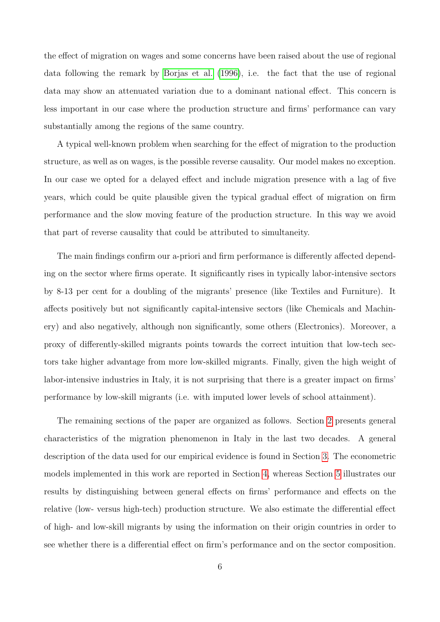the effect of migration on wages and some concerns have been raised about the use of regional data following the remark by [Borjas et al.](#page-26-4) [\(1996\)](#page-26-4), i.e. the fact that the use of regional data may show an attenuated variation due to a dominant national effect. This concern is less important in our case where the production structure and firms' performance can vary substantially among the regions of the same country.

A typical well-known problem when searching for the effect of migration to the production structure, as well as on wages, is the possible reverse causality. Our model makes no exception. In our case we opted for a delayed effect and include migration presence with a lag of five years, which could be quite plausible given the typical gradual effect of migration on firm performance and the slow moving feature of the production structure. In this way we avoid that part of reverse causality that could be attributed to simultaneity.

The main findings confirm our a-priori and firm performance is differently affected depending on the sector where firms operate. It significantly rises in typically labor-intensive sectors by 8-13 per cent for a doubling of the migrants' presence (like Textiles and Furniture). It affects positively but not significantly capital-intensive sectors (like Chemicals and Machinery) and also negatively, although non significantly, some others (Electronics). Moreover, a proxy of differently-skilled migrants points towards the correct intuition that low-tech sectors take higher advantage from more low-skilled migrants. Finally, given the high weight of labor-intensive industries in Italy, it is not surprising that there is a greater impact on firms' performance by low-skill migrants (i.e. with imputed lower levels of school attainment).

The remaining sections of the paper are organized as follows. Section [2](#page-7-0) presents general characteristics of the migration phenomenon in Italy in the last two decades. A general description of the data used for our empirical evidence is found in Section [3.](#page-9-0) The econometric models implemented in this work are reported in Section [4,](#page-12-0) whereas Section [5](#page-15-0) illustrates our results by distinguishing between general effects on firms' performance and effects on the relative (low- versus high-tech) production structure. We also estimate the differential effect of high- and low-skill migrants by using the information on their origin countries in order to see whether there is a differential effect on firm's performance and on the sector composition.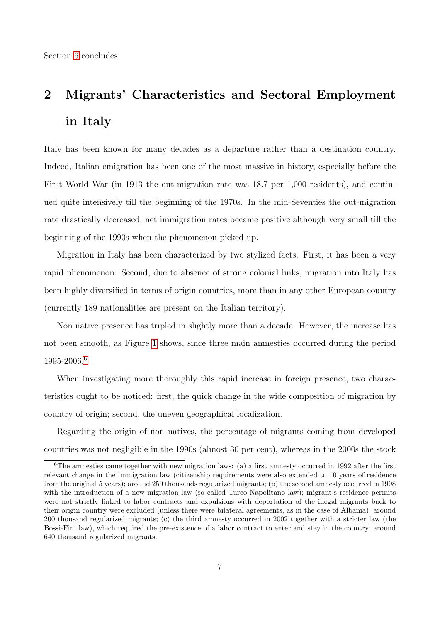Section [6](#page-25-0) concludes.

# <span id="page-7-0"></span>2 Migrants' Characteristics and Sectoral Employment in Italy

Italy has been known for many decades as a departure rather than a destination country. Indeed, Italian emigration has been one of the most massive in history, especially before the First World War (in 1913 the out-migration rate was 18.7 per 1,000 residents), and continued quite intensively till the beginning of the 1970s. In the mid-Seventies the out-migration rate drastically decreased, net immigration rates became positive although very small till the beginning of the 1990s when the phenomenon picked up.

Migration in Italy has been characterized by two stylized facts. First, it has been a very rapid phenomenon. Second, due to absence of strong colonial links, migration into Italy has been highly diversified in terms of origin countries, more than in any other European country (currently 189 nationalities are present on the Italian territory).

Non native presence has tripled in slightly more than a decade. However, the increase has not been smooth, as Figure [1](#page-8-0) shows, since three main amnesties occurred during the period 1995-2006.[6](#page-1-0)

When investigating more thoroughly this rapid increase in foreign presence, two characteristics ought to be noticed: first, the quick change in the wide composition of migration by country of origin; second, the uneven geographical localization.

Regarding the origin of non natives, the percentage of migrants coming from developed countries was not negligible in the 1990s (almost 30 per cent), whereas in the 2000s the stock

<sup>&</sup>lt;sup>6</sup>The amnesties came together with new migration laws: (a) a first amnesty occurred in 1992 after the first relevant change in the immigration law (citizenship requirements were also extended to 10 years of residence from the original 5 years); around 250 thousands regularized migrants; (b) the second amnesty occurred in 1998 with the introduction of a new migration law (so called Turco-Napolitano law); migrant's residence permits were not strictly linked to labor contracts and expulsions with deportation of the illegal migrants back to their origin country were excluded (unless there were bilateral agreements, as in the case of Albania); around 200 thousand regularized migrants; (c) the third amnesty occurred in 2002 together with a stricter law (the Bossi-Fini law), which required the pre-existence of a labor contract to enter and stay in the country; around 640 thousand regularized migrants.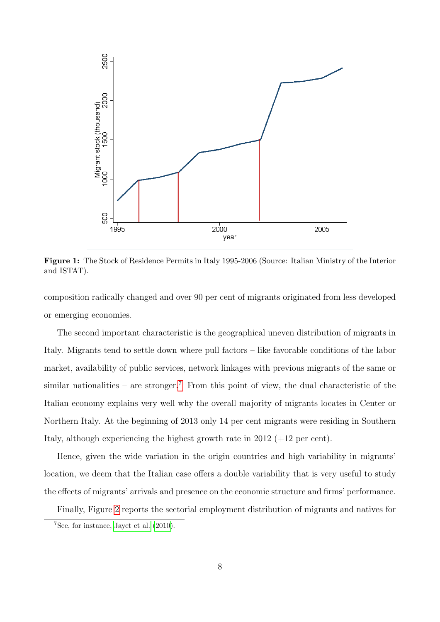<span id="page-8-0"></span>

Figure 1: The Stock of Residence Permits in Italy 1995-2006 (Source: Italian Ministry of the Interior and ISTAT).

composition radically changed and over 90 per cent of migrants originated from less developed or emerging economies.

The second important characteristic is the geographical uneven distribution of migrants in Italy. Migrants tend to settle down where pull factors – like favorable conditions of the labor market, availability of public services, network linkages with previous migrants of the same or similar nationalities – are stronger.<sup>[7](#page-1-0)</sup> From this point of view, the dual characteristic of the Italian economy explains very well why the overall majority of migrants locates in Center or Northern Italy. At the beginning of 2013 only 14 per cent migrants were residing in Southern Italy, although experiencing the highest growth rate in 2012 (+12 per cent).

Hence, given the wide variation in the origin countries and high variability in migrants' location, we deem that the Italian case offers a double variability that is very useful to study the effects of migrants' arrivals and presence on the economic structure and firms' performance.

Finally, Figure [2](#page-9-1) reports the sectorial employment distribution of migrants and natives for

 $7$ See, for instance, [Jayet et al.](#page-28-8)  $(2010)$ .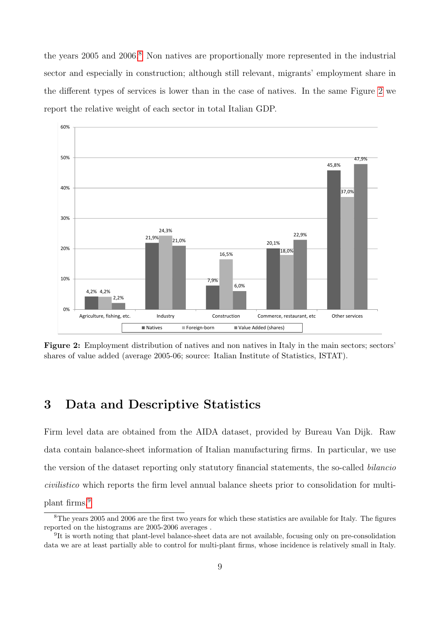the years  $2005$  and  $2006<sup>8</sup>$  $2006<sup>8</sup>$  $2006<sup>8</sup>$ . Non natives are proportionally more represented in the industrial sector and especially in construction; although still relevant, migrants' employment share in the different types of services is lower than in the case of natives. In the same Figure [2](#page-9-1) we report the relative weight of each sector in total Italian GDP.

<span id="page-9-1"></span>

Figure 2: Employment distribution of natives and non natives in Italy in the main sectors; sectors' shares of value added (average 2005-06; source: Italian Institute of Statistics, ISTAT).

#### <span id="page-9-0"></span>3 Data and Descriptive Statistics

Firm level data are obtained from the AIDA dataset, provided by Bureau Van Dijk. Raw data contain balance-sheet information of Italian manufacturing firms. In particular, we use the version of the dataset reporting only statutory financial statements, the so-called bilancio civilistico which reports the firm level annual balance sheets prior to consolidation for multiplant firms.[9](#page-1-0)

 ${}^{8}$ The years 2005 and 2006 are the first two years for which these statistics are available for Italy. The figures reported on the histograms are 2005-2006 averages .

<sup>&</sup>lt;sup>9</sup>It is worth noting that plant-level balance-sheet data are not available, focusing only on pre-consolidation data we are at least partially able to control for multi-plant firms, whose incidence is relatively small in Italy.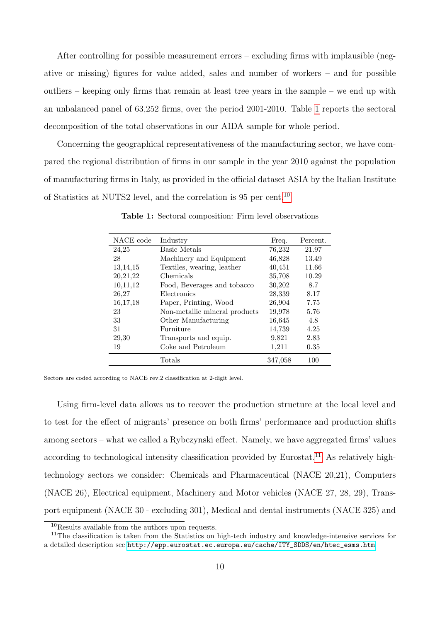After controlling for possible measurement errors – excluding firms with implausible (negative or missing) figures for value added, sales and number of workers – and for possible outliers – keeping only firms that remain at least tree years in the sample – we end up with an unbalanced panel of 63,252 firms, over the period 2001-2010. Table [1](#page-10-0) reports the sectoral decomposition of the total observations in our AIDA sample for whole period.

<span id="page-10-0"></span>Concerning the geographical representativeness of the manufacturing sector, we have compared the regional distribution of firms in our sample in the year 2010 against the population of manufacturing firms in Italy, as provided in the official dataset ASIA by the Italian Institute of Statistics at NUTS2 level, and the correlation is 95 per cent.<sup>[10](#page-1-0)</sup>

| NACE code  | Industry                      | Freq.   | Percent. |
|------------|-------------------------------|---------|----------|
| 24,25      | <b>Basic Metals</b>           | 76,232  | 21.97    |
| 28         | Machinery and Equipment       | 46,828  | 13.49    |
| 13, 14, 15 | Textiles, wearing, leather    | 40,451  | 11.66    |
| 20,21,22   | Chemicals                     | 35,708  | 10.29    |
| 10,11,12   | Food, Beverages and tobacco   | 30,202  | 8.7      |
| 26,27      | Electronics                   | 28,339  | 8.17     |
| 16,17,18   | Paper, Printing, Wood         | 26,904  | 7.75     |
| 23         | Non-metallic mineral products | 19,978  | 5.76     |
| 33         | Other Manufacturing           | 16,645  | 4.8      |
| 31         | Furniture                     | 14,739  | 4.25     |
| 29,30      | Transports and equip.         | 9,821   | 2.83     |
| 19         | Coke and Petroleum            | 1,211   | 0.35     |
|            | Totals                        | 347,058 | 100      |

Table 1: Sectoral composition: Firm level observations

Sectors are coded according to NACE rev.2 classification at 2-digit level.

Using firm-level data allows us to recover the production structure at the local level and to test for the effect of migrants' presence on both firms' performance and production shifts among sectors – what we called a Rybczynski effect. Namely, we have aggregated firms' values according to technological intensity classification provided by Eurostat.<sup>[11](#page-1-0)</sup> As relatively hightechnology sectors we consider: Chemicals and Pharmaceutical (NACE 20,21), Computers (NACE 26), Electrical equipment, Machinery and Motor vehicles (NACE 27, 28, 29), Transport equipment (NACE 30 - excluding 301), Medical and dental instruments (NACE 325) and

<sup>10</sup>Results available from the authors upon requests.

<sup>&</sup>lt;sup>11</sup>The classification is taken from the Statistics on high-tech industry and knowledge-intensive services for a detailed description see [http://epp.eurostat.ec.europa.eu/cache/ITY\\_SDDS/en/htec\\_esms.htm](http://epp.eurostat.ec.europa.eu/cache/ITY_SDDS/en/htec_esms.htm)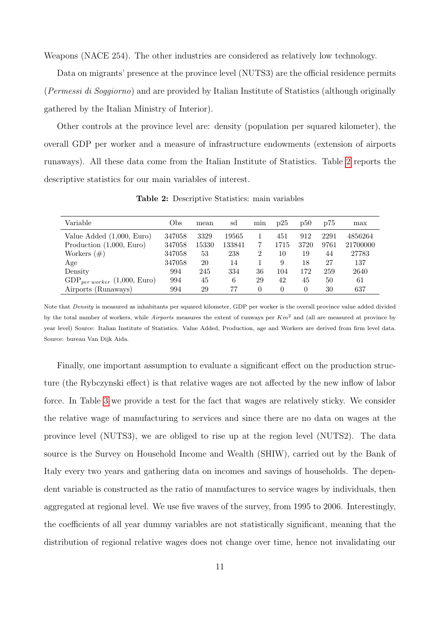Weapons (NACE 254). The other industries are considered as relatively low technology.

Data on migrants' presence at the province level (NUTS3) are the official residence permits (Permessi di Soggiorno) and are provided by Italian Institute of Statistics (although originally gathered by the Italian Ministry of Interior).

Other controls at the province level are: density (population per squared kilometer), the overall GDP per worker and a measure of infrastructure endowments (extension of airports runaways). All these data come from the Italian Institute of Statistics. Table [2](#page-11-0) reports the descriptive statistics for our main variables of interest.

<span id="page-11-0"></span>

| Variable                           | Obs    | mean  | sd     | min | p25  | p50      | p75  | max      |
|------------------------------------|--------|-------|--------|-----|------|----------|------|----------|
| Value Added $(1,000, Euro)$        | 347058 | 3329  | 19565  |     | 451  | 912      | 2291 | 4856264  |
| Production $(1,000, Euro)$         | 347058 | 15330 | 133841 |     | 1715 | 3720     | 9761 | 21700000 |
| Workers $(\#)$                     | 347058 | 53    | 238    | 2   | 10   | 19       | 44   | 27783    |
| Age                                | 347058 | 20    | 14     |     | 9    | 18       | 27   | 137      |
| Density                            | 994    | 245   | 334    | 36  | 104  | 172      | 259  | 2640     |
| $GDP_{per\, worker}$ (1,000, Euro) | 994    | 45    | 6      | 29  | 42   | 45       | 50   | 61       |
| Airports (Runaways)                | 994    | 29    | 77     |     | 0    | $\Omega$ | 30   | 637      |

Table 2: Descriptive Statistics: main variables

Note that Density is measured as inhabitants per squared kilometer, GDP per worker is the overall province value added divided by the total number of workers, while Airports measures the extent of runways per  $Km^2$  and (all are measured at province by year level) Source: Italian Institute of Statistics. Value Added, Production, age and Workers are derived from firm level data. Source: bureau Van Dijk Aida.

Finally, one important assumption to evaluate a significant effect on the production structure (the Rybczynski effect) is that relative wages are not affected by the new inflow of labor force. In Table [3](#page-12-1) we provide a test for the fact that wages are relatively sticky. We consider the relative wage of manufacturing to services and since there are no data on wages at the province level (NUTS3), we are obliged to rise up at the region level (NUTS2). The data source is the Survey on Household Income and Wealth (SHIW), carried out by the Bank of Italy every two years and gathering data on incomes and savings of households. The dependent variable is constructed as the ratio of manufactures to service wages by individuals, then aggregated at regional level. We use five waves of the survey, from 1995 to 2006. Interestingly, the coefficients of all year dummy variables are not statistically significant, meaning that the distribution of regional relative wages does not change over time, hence not invalidating our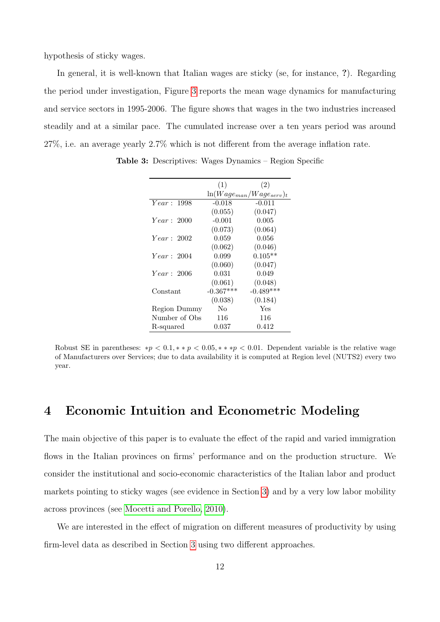hypothesis of sticky wages.

In general, it is well-known that Italian wages are sticky (se, for instance, ?). Regarding the period under investigation, Figure [3](#page-13-0) reports the mean wage dynamics for manufacturing and service sectors in 1995-2006. The figure shows that wages in the two industries increased steadily and at a similar pace. The cumulated increase over a ten years period was around 27%, i.e. an average yearly 2.7% which is not different from the average inflation rate.

|               | (1)         | (2)                             |
|---------------|-------------|---------------------------------|
|               |             | $\ln(Wage_{man}/Wage_{serv})_t$ |
| Year: 1998    | $-0.018$    | $-0.011$                        |
|               | (0.055)     | (0.047)                         |
| Year: 2000    | $-0.001$    | 0.005                           |
|               | (0.073)     | (0.064)                         |
| Year: 2002    | 0.059       | 0.056                           |
|               | (0.062)     | (0.046)                         |
| Year: 2004    | 0.099       | $0.105**$                       |
|               | (0.060)     | (0.047)                         |
| Year: 2006    | 0.031       | 0.049                           |
|               | (0.061)     | (0.048)                         |
| Constant      | $-0.367***$ | $-0.489***$                     |
|               | (0.038)     | (0.184)                         |
| Region Dummy  | No          | Yes                             |
| Number of Obs | 116         | 116                             |
| R-squared     | 0.037       | 0.412                           |

<span id="page-12-1"></span>Table 3: Descriptives: Wages Dynamics – Region Specific

Robust SE in parentheses: \* $p < 0.1$ , \* \*  $p < 0.05$ , \* \* \*  $p < 0.01$ . Dependent variable is the relative wage of Manufacturers over Services; due to data availability it is computed at Region level (NUTS2) every two year.

#### <span id="page-12-0"></span>4 Economic Intuition and Econometric Modeling

The main objective of this paper is to evaluate the effect of the rapid and varied immigration flows in the Italian provinces on firms' performance and on the production structure. We consider the institutional and socio-economic characteristics of the Italian labor and product markets pointing to sticky wages (see evidence in Section [3\)](#page-9-0) and by a very low labor mobility across provinces (see [Mocetti and Porello, 2010\)](#page-28-9).

We are interested in the effect of migration on different measures of productivity by using firm-level data as described in Section [3](#page-9-0) using two different approaches.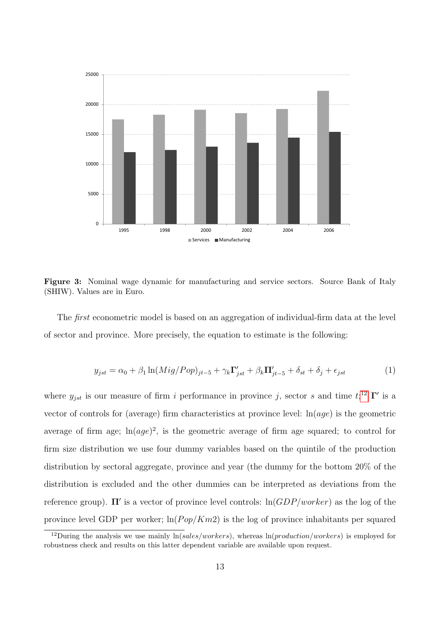<span id="page-13-0"></span>

Figure 3: Nominal wage dynamic for manufacturing and service sectors. Source Bank of Italy (SHIW). Values are in Euro.

The first econometric model is based on an aggregation of individual-firm data at the level of sector and province. More precisely, the equation to estimate is the following:

<span id="page-13-1"></span>
$$
y_{jst} = \alpha_0 + \beta_1 \ln(Mig/Pop)_{jt-5} + \gamma_k \Gamma'_{jst} + \beta_k \Pi'_{jt-5} + \delta_{st} + \delta_j + \epsilon_{jst} \tag{1}
$$

where  $y_{jst}$  is our measure of firm i performance in province j, sector s and time  $t;^{12} \Gamma'$  $t;^{12} \Gamma'$  $t;^{12} \Gamma'$  is a vector of controls for (average) firm characteristics at province level:  $\ln(aqe)$  is the geometric average of firm age;  $\ln(age)^2$ , is the geometric average of firm age squared; to control for firm size distribution we use four dummy variables based on the quintile of the production distribution by sectoral aggregate, province and year (the dummy for the bottom 20% of the distribution is excluded and the other dummies can be interpreted as deviations from the reference group).  $\Pi'$  is a vector of province level controls:  $\ln(GDP/worker)$  as the log of the province level GDP per worker;  $\ln(Pop/Km2)$  is the log of province inhabitants per squared

<sup>&</sup>lt;sup>12</sup>During the analysis we use mainly  $ln(sales/works)$ , whereas  $ln(preduction/works)$  is employed for robustness check and results on this latter dependent variable are available upon request.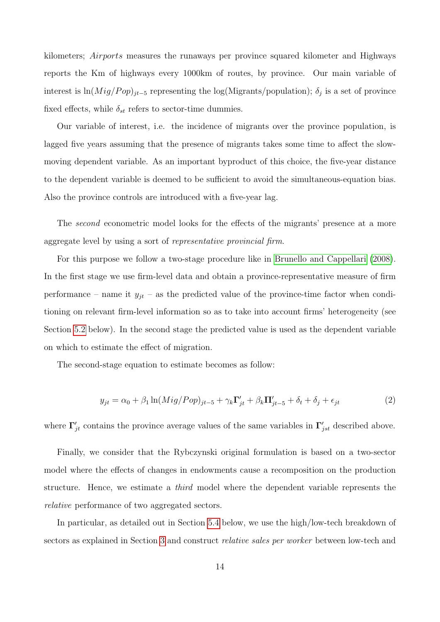kilometers; Airports measures the runaways per province squared kilometer and Highways reports the Km of highways every 1000km of routes, by province. Our main variable of interest is  $\ln(Mig/Pop)_{jt-5}$  representing the log(Migrants/population);  $\delta_j$  is a set of province fixed effects, while  $\delta_{st}$  refers to sector-time dummies.

Our variable of interest, i.e. the incidence of migrants over the province population, is lagged five years assuming that the presence of migrants takes some time to affect the slowmoving dependent variable. As an important byproduct of this choice, the five-year distance to the dependent variable is deemed to be sufficient to avoid the simultaneous-equation bias. Also the province controls are introduced with a five-year lag.

The second econometric model looks for the effects of the migrants' presence at a more aggregate level by using a sort of representative provincial firm.

For this purpose we follow a two-stage procedure like in [Brunello and Cappellari](#page-27-8) [\(2008\)](#page-27-8). In the first stage we use firm-level data and obtain a province-representative measure of firm performance – name it  $y_{jt}$  – as the predicted value of the province-time factor when conditioning on relevant firm-level information so as to take into account firms' heterogeneity (see Section [5.2](#page-16-0) below). In the second stage the predicted value is used as the dependent variable on which to estimate the effect of migration.

The second-stage equation to estimate becomes as follow:

<span id="page-14-0"></span>
$$
y_{jt} = \alpha_0 + \beta_1 \ln(Mig/Pop)_{jt-5} + \gamma_k \Gamma'_{jt} + \beta_k \Pi'_{jt-5} + \delta_t + \delta_j + \epsilon_{jt}
$$
\n<sup>(2)</sup>

where  $\Gamma'_{jt}$  contains the province average values of the same variables in  $\Gamma'_{jst}$  described above.

Finally, we consider that the Rybczynski original formulation is based on a two-sector model where the effects of changes in endowments cause a recomposition on the production structure. Hence, we estimate a third model where the dependent variable represents the relative performance of two aggregated sectors.

In particular, as detailed out in Section [5.4](#page-21-0) below, we use the high/low-tech breakdown of sectors as explained in Section [3](#page-9-0) and construct *relative sales per worker* between low-tech and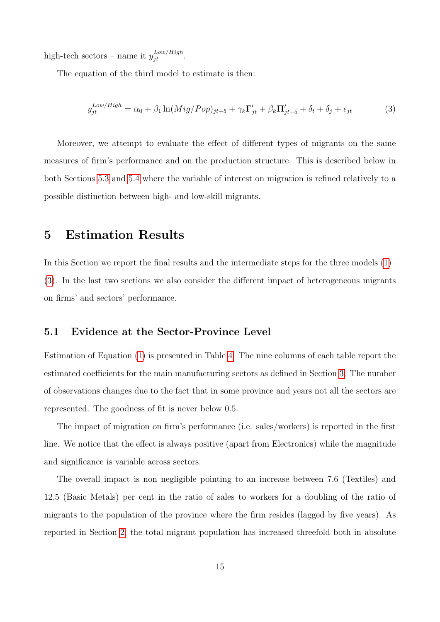high-tech sectors – name it  $y_{jt}^{Low/High}$ .

The equation of the third model to estimate is then:

<span id="page-15-1"></span>
$$
y_{jt}^{Low/High} = \alpha_0 + \beta_1 \ln(Mig/Pop)_{jt-5} + \gamma_k \Gamma'_{jt} + \beta_k \Pi'_{jt-5} + \delta_t + \delta_j + \epsilon_{jt}
$$
(3)

Moreover, we attempt to evaluate the effect of different types of migrants on the same measures of firm's performance and on the production structure. This is described below in both Sections [5.3](#page-20-0) and [5.4](#page-21-0) where the variable of interest on migration is refined relatively to a possible distinction between high- and low-skill migrants.

#### <span id="page-15-0"></span>5 Estimation Results

In this Section we report the final results and the intermediate steps for the three models [\(1\)](#page-13-1)– [\(3\)](#page-15-1). In the last two sections we also consider the different impact of heterogeneous migrants on firms' and sectors' performance.

#### 5.1 Evidence at the Sector-Province Level

Estimation of Equation [\(1\)](#page-13-1) is presented in Table [4.](#page-17-0) The nine columns of each table report the estimated coefficients for the main manufacturing sectors as defined in Section [3.](#page-9-0) The number of observations changes due to the fact that in some province and years not all the sectors are represented. The goodness of fit is never below 0.5.

The impact of migration on firm's performance (i.e. sales/workers) is reported in the first line. We notice that the effect is always positive (apart from Electronics) while the magnitude and significance is variable across sectors.

The overall impact is non negligible pointing to an increase between 7.6 (Textiles) and 12.5 (Basic Metals) per cent in the ratio of sales to workers for a doubling of the ratio of migrants to the population of the province where the firm resides (lagged by five years). As reported in Section [2,](#page-7-0) the total migrant population has increased threefold both in absolute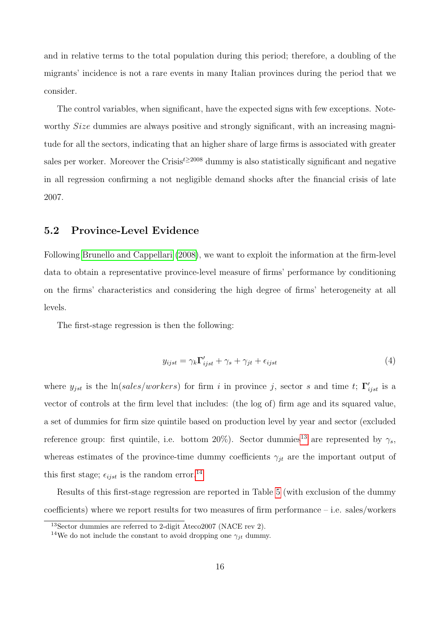and in relative terms to the total population during this period; therefore, a doubling of the migrants' incidence is not a rare events in many Italian provinces during the period that we consider.

The control variables, when significant, have the expected signs with few exceptions. Noteworthy *Size* dummies are always positive and strongly significant, with an increasing magnitude for all the sectors, indicating that an higher share of large firms is associated with greater sales per worker. Moreover the Crisis<sup> $t \geq 2008$ </sup> dummy is also statistically significant and negative in all regression confirming a not negligible demand shocks after the financial crisis of late 2007.

#### <span id="page-16-0"></span>5.2 Province-Level Evidence

Following [Brunello and Cappellari](#page-27-8) [\(2008\)](#page-27-8), we want to exploit the information at the firm-level data to obtain a representative province-level measure of firms' performance by conditioning on the firms' characteristics and considering the high degree of firms' heterogeneity at all levels.

The first-stage regression is then the following:

<span id="page-16-1"></span>
$$
y_{ijst} = \gamma_k \Gamma'_{ijst} + \gamma_s + \gamma_{jt} + \epsilon_{ijst}
$$
\n<sup>(4)</sup>

where  $y_{jst}$  is the ln(sales/workers) for firm i in province j, sector s and time t;  $\Gamma'_{ijst}$  is a vector of controls at the firm level that includes: (the log of) firm age and its squared value, a set of dummies for firm size quintile based on production level by year and sector (excluded reference group: first quintile, i.e. bottom 20%). Sector dummies<sup>[13](#page-1-0)</sup> are represented by  $\gamma_s$ , whereas estimates of the province-time dummy coefficients  $\gamma_{it}$  are the important output of this first stage;  $\epsilon_{ijst}$  is the random error.<sup>[14](#page-1-0)</sup>

Results of this first-stage regression are reported in Table [5](#page-18-0) (with exclusion of the dummy coefficients) where we report results for two measures of firm performance – i.e. sales/workers

<sup>13</sup>Sector dummies are referred to 2-digit Ateco2007 (NACE rev 2).

<sup>&</sup>lt;sup>14</sup>We do not include the constant to avoid dropping one  $\gamma_{jt}$  dummy.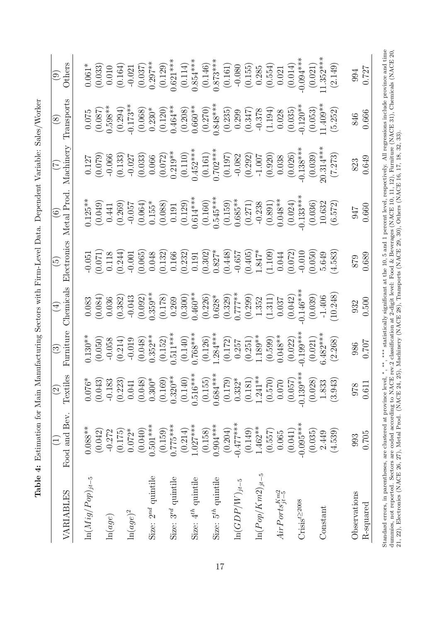<span id="page-17-0"></span>

| VARIABLES                      | Food and Bev.         | Textiles<br>$\odot$             | Furniture<br>$\odot$  | Chemicals<br>$\overline{\mathcal{A}}$ | Electronics<br>مَ | Metal Prod.           | Machinery             | Transports<br>$\infty$ | Others<br>$\odot$     |
|--------------------------------|-----------------------|---------------------------------|-----------------------|---------------------------------------|-------------------|-----------------------|-----------------------|------------------------|-----------------------|
| $\ln(Mig/Pop)_{jt-5}$          | $0.088***$            | $0.076*$                        | $0.130**$             | (0.084)                               | (0.071)           | $0.125**$             | (0.079)               | (0.087)                | $0.061*$              |
|                                | (0.042)               | (0.043)                         | (0.050)               | 0.083                                 | 0.05              | (0.049)               | 0.127                 | 0.075                  | (0.033)               |
| $\ln(age)$                     | $-0.272$              | $-0.183$                        | $-0.058$              | 0.036                                 | 0.118             | 0.441                 | $-0.066$              | $0.598**$              | 0.010                 |
| $\ln (age)^2$                  | $0.072*$              | (0.223)                         | (0.214)               | (0.382)                               | (0.244)           | (0.269)               | (0.133)               | $-0.173**$             | (0.164)               |
|                                | (0.175)               | 0.041                           | $-0.019$              | $-0.043$                              | $-0.001$          | $-0.057$              | $-0.027$              | (0.294)                | $-0.021$              |
| Size: $2^{nd}$ quintile        | $0.501***$            | $0.300*$                        | $0.352**$             | $0.359**$                             | (0.065)           | $0.155*$              | (0.033)               | $0.230*$               | $0.297***$            |
|                                | (0.040)               | (0.048)                         | (0.048)               | (0.092)                               | 0.048             | (0.064)               | 0.066                 | (0.068)                | (0.037)               |
| Size: 3 <sup>rd</sup> quintile | $0.775***$<br>(0.159) | $0.320**$<br>(0.140)<br>(0.169) | $0.511***$<br>(0.152) | (0.178)<br>0.269                      | (0.132)<br>0.166  | (0.088)<br>0.191      | $0.219**$<br>(0.072)  | $0.464***$<br>(0.120)  | $0.621***$<br>(0.129) |
| Size: 4 <sup>th</sup> quintile | $1.027***$<br>(0.214) | $0.516***$                      | $0.768***$<br>(0.140) | $0.460**$<br>(0.300)                  | (0.232)<br>0.191  | $0.614***$<br>(0.129) | $0.452***$<br>(0.110) | $0.660**$<br>(0.208)   | $0.854***$<br>(0.114) |
| Size: $5th$ quintile           | $0.904***$            | $0.684***$                      | $1.284***$            | $0.628*$                              | $0.827*$          | $0.545***$            | $0.702***$            | $0.848***$             | $0.873***$            |
|                                | (0.158)               | (0.155)                         | (0.126)               | (0.226)                               | (0.302)           | (0.160)               | (0.161)               | (0.270)                | (0.146)               |
| $\ln(GDP/W)_{jt-5}$            | $-0.477***$           | (0.179)                         | (0.172)               | $0.777**$                             | (0.448)           | $0.685**$             | (0.197)               | (0.235)                | (0.161)               |
|                                | (0.204)               | $0.332*$                        | 0.257                 | (0.329)                               | $-0.657$          | (0.159)               | $-0.082$              | 0.299                  | $-0.080$              |
| $\ln (Pop/Km2)_{jt-5}$         | $1.462**$             | $1.241***$                      | 1.189**               | (0.299)                               | $1.847^{\ast}$    | (0.271)               | (0.292)               | $-0.378$               | (0.155)               |
|                                | (0.149)               | (0.181)                         | (0.251)               | 1.352                                 | (0.405)           | $-0.238$              | $-1.007$              | (0.347)                | 0.285                 |
|                                | (0.557)               | (0.570)                         | (0.599)               | (1.311)                               | (1.109)           | (0.891)               | (0.920)               | (1.194)                | (0.554)               |
| $AirPorts_{jt-5}^{Km2}$        | (0.041)               | 0.070                           | $0.048**$             | (0.042)                               | (0.072)           | $0.048**$             | (0.026)               | (0.035)                | (0.014)               |
|                                | 0.065                 | (0.057)                         | (0.022)               | 0.037                                 | 0.044             | (0.024)               | 0.038                 | 0.028                  | 0.021                 |
| $Crisis^{t\geq 2008}$          | $-0.095***$           | $-0.139***$                     | $0.199***$            | $0.146***$                            | $-0.010$          | $0.133***$            | $-0.138***$           | $-0.120**$             | $0.094***$            |
|                                | (0.035)               | (0.028)                         | (0.021)               | (0.039)                               | (0.050)           | (0.036)               | (0.039)               | (0.053)                | (0.021)               |
| Constant                       | (4.539)               | 1.833                           | $6.482***$            | 10.248                                | 4.583)            | 10.632                | $20.314***$           | $1.409**$              | $1.352***$            |
|                                | 2.449                 | (3.943)                         | (2.268)               | $-1.406$                              | 5.649             | (6.572)               | (7.273)               | (5.252)                | (2.149)               |
| Observations                   | 993                   | 978                             | 986                   | 932                                   | 879               | 716                   | 823                   | 846                    | 994                   |
| R-squared                      | 0.705                 | 0.611                           | 0.707                 | 0.500                                 | 0.689             | 0.660                 | 0.649                 | 0.666                  | 0.727                 |

Table 4: Estimation for Main Manufacturing Sectors with Firm-Level Data. Dependent Variable: Sales/Worker Table 4: Estimation for Main Manufacturing Sectors with Firm-Level Data. Dependent Variable: Sales/Worker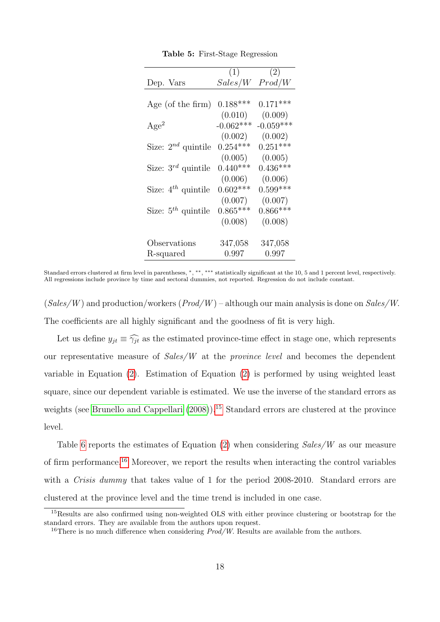<span id="page-18-0"></span>

|                         | (1)         | (2)         |
|-------------------------|-------------|-------------|
| Dep. Vars               | Sales/W     | Prod/W      |
|                         |             |             |
| Age (of the firm)       | $0.188***$  | $0.171***$  |
|                         | (0.010)     | (0.009)     |
| Age <sup>2</sup>        | $-0.062***$ | $-0.059***$ |
|                         | (0.002)     | (0.002)     |
| Size: $2^{nd}$ quintile | $0.254***$  | $0.251***$  |
|                         | (0.005)     | (0.005)     |
| Size: $3^{rd}$ quintile | $0.440***$  | $0.436***$  |
|                         | (0.006)     | (0.006)     |
| Size: $4^{th}$ quintile | $0.602***$  | $0.599***$  |
|                         | (0.007)     | (0.007)     |
| Size: $5^{th}$ quintile | $0.865***$  | $0.866***$  |
|                         | (0.008)     | (0.008)     |
|                         |             |             |
| Observations            | 347,058     | 347,058     |
| R-squared               | 0.997       | 0.997       |

Table 5: First-Stage Regression

Standard errors clustered at firm level in parentheses, \*, \*\*\*, \*\*\*\* statistically significant at the 10, 5 and 1 percent level, respectively. All regressions include province by time and sectoral dummies, not reported. Regression do not include constant.

 $(Sales/W)$  and production/workers  $(Prod/W)$  – although our main analysis is done on  $Sales/W$ . The coefficients are all highly significant and the goodness of fit is very high.

Let us define  $y_{jt} \equiv \widehat{\gamma_{jt}}$  as the estimated province-time effect in stage one, which represents our representative measure of Sales/W at the province level and becomes the dependent variable in Equation [\(2\)](#page-14-0). Estimation of Equation [\(2\)](#page-14-0) is performed by using weighted least square, since our dependent variable is estimated. We use the inverse of the standard errors as weights (see [Brunello and Cappellari](#page-27-8)  $(2008)$ ).<sup>[15](#page-1-0)</sup> Standard errors are clustered at the province level.

Table [6](#page-19-0) reports the estimates of Equation [\(2\)](#page-14-0) when considering Sales/W as our measure of firm performance.<sup>[16](#page-1-0)</sup> Moreover, we report the results when interacting the control variables with a *Crisis dummy* that takes value of 1 for the period 2008-2010. Standard errors are clustered at the province level and the time trend is included in one case.

<sup>&</sup>lt;sup>15</sup>Results are also confirmed using non-weighted OLS with either province clustering or bootstrap for the standard errors. They are available from the authors upon request.

<sup>&</sup>lt;sup>16</sup>There is no much difference when considering  $Prod/W$ . Results are available from the authors.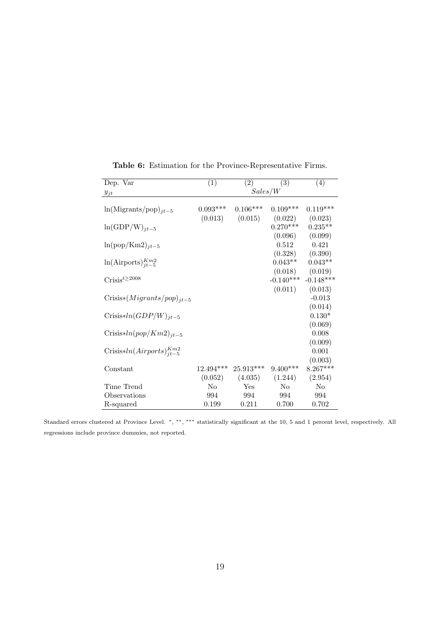<span id="page-19-0"></span>

| Dep. Var                                | (1)                    | (2)                    | (3)                    | (4)                    |
|-----------------------------------------|------------------------|------------------------|------------------------|------------------------|
| $y_{jt}$                                |                        | Sales/W                |                        |                        |
| $ln(Migraph)_{it-5}$                    | $0.093***$             | $0.106***$             | $0.109***$             | $0.119***$             |
| $ln(GDP/W)_{it-5}$                      | (0.013)                | (0.015)                | (0.022)<br>$0.270***$  | (0.023)<br>$0.235**$   |
| $ln(pop/Km2)_{jt-5}$                    |                        |                        | (0.096)<br>0.512       | (0.099)<br>0.421       |
|                                         |                        |                        | (0.328)                | (0.390)                |
| $ln(Airports)_{it-5}^{Km2}$             |                        |                        | $0.043**$<br>(0.018)   | $0.043**$<br>(0.019)   |
| $\text{Crisis}^{t\geq 2008}$            |                        |                        | $-0.140***$<br>(0.011) | $-0.148***$<br>(0.013) |
| $Crisis*(Migrants.pop)_{it-5}$          |                        |                        |                        | $-0.013$<br>(0.014)    |
| $Crisis*ln(GDP/W)_{it-5}$               |                        |                        |                        | $0.130*$               |
| $Crisis*ln(pop/Km2)_{it-5}$             |                        |                        |                        | (0.069)<br>0.008       |
| Crisis*ln( $Airports$ ) $_{it-5}^{Km2}$ |                        |                        |                        | (0.009)<br>0.001       |
|                                         |                        |                        |                        | (0.003)                |
| Constant                                | $12.494***$<br>(0.052) | $25.913***$<br>(4.035) | $9.400***$<br>(1.244)  | $8.267***$<br>(2.954)  |
| Time Trend                              | N <sub>o</sub>         | Yes                    | No                     | No                     |
| Observations                            | 994                    | 994                    | 994                    | 994                    |
| R-squared                               | 0.199                  | 0.211                  | 0.700                  | 0.702                  |

Table 6: Estimation for the Province-Representative Firms.

Standard errors clustered at Province Level. <sup>∗</sup>, ∗∗, ∗∗∗ statistically significant at the 10, 5 and 1 percent level, respectively. All regressions include province dummies, not reported.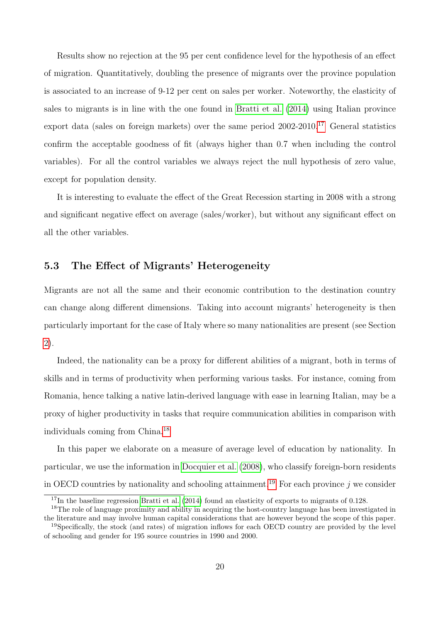Results show no rejection at the 95 per cent confidence level for the hypothesis of an effect of migration. Quantitatively, doubling the presence of migrants over the province population is associated to an increase of 9-12 per cent on sales per worker. Noteworthy, the elasticity of sales to migrants is in line with the one found in [Bratti et al.](#page-26-5) [\(2014\)](#page-26-5) using Italian province export data (sales on foreign markets) over the same period  $2002-2010$ .<sup>[17](#page-1-0)</sup> General statistics confirm the acceptable goodness of fit (always higher than 0.7 when including the control variables). For all the control variables we always reject the null hypothesis of zero value, except for population density.

It is interesting to evaluate the effect of the Great Recession starting in 2008 with a strong and significant negative effect on average (sales/worker), but without any significant effect on all the other variables.

#### <span id="page-20-0"></span>5.3 The Effect of Migrants' Heterogeneity

Migrants are not all the same and their economic contribution to the destination country can change along different dimensions. Taking into account migrants' heterogeneity is then particularly important for the case of Italy where so many nationalities are present (see Section [2\)](#page-7-0).

Indeed, the nationality can be a proxy for different abilities of a migrant, both in terms of skills and in terms of productivity when performing various tasks. For instance, coming from Romania, hence talking a native latin-derived language with ease in learning Italian, may be a proxy of higher productivity in tasks that require communication abilities in comparison with individuals coming from China.[18](#page-1-0)

In this paper we elaborate on a measure of average level of education by nationality. In particular, we use the information in [Docquier et al.](#page-27-9) [\(2008\)](#page-27-9), who classify foreign-born residents in OECD countries by nationality and schooling attainment.<sup>[19](#page-1-0)</sup> For each province j we consider

<sup>&</sup>lt;sup>17</sup>In the baseline regression [Bratti et al.](#page-26-5) [\(2014\)](#page-26-5) found an elasticity of exports to migrants of 0.128.

<sup>&</sup>lt;sup>18</sup>The role of language proximity and ability in acquiring the host-country language has been investigated in the literature and may involve human capital considerations that are however beyond the scope of this paper. <sup>19</sup>Specifically, the stock (and rates) of migration inflows for each OECD country are provided by the level

of schooling and gender for 195 source countries in 1990 and 2000.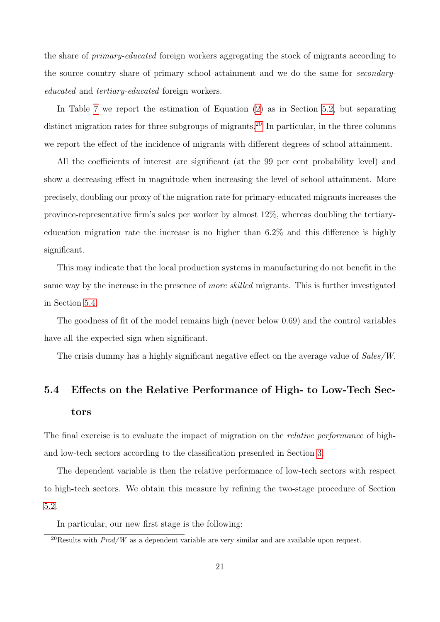the share of primary-educated foreign workers aggregating the stock of migrants according to the source country share of primary school attainment and we do the same for secondaryeducated and tertiary-educated foreign workers.

In Table [7](#page-22-0) we report the estimation of Equation [\(2\)](#page-14-0) as in Section [5.2,](#page-16-0) but separating distinct migration rates for three subgroups of migrants.<sup>[20](#page-1-0)</sup> In particular, in the three columns we report the effect of the incidence of migrants with different degrees of school attainment.

All the coefficients of interest are significant (at the 99 per cent probability level) and show a decreasing effect in magnitude when increasing the level of school attainment. More precisely, doubling our proxy of the migration rate for primary-educated migrants increases the province-representative firm's sales per worker by almost 12%, whereas doubling the tertiaryeducation migration rate the increase is no higher than 6.2% and this difference is highly significant.

This may indicate that the local production systems in manufacturing do not benefit in the same way by the increase in the presence of *more skilled* migrants. This is further investigated in Section [5.4.](#page-21-0)

The goodness of fit of the model remains high (never below 0.69) and the control variables have all the expected sign when significant.

The crisis dummy has a highly significant negative effect on the average value of Sales/W.

### <span id="page-21-0"></span>5.4 Effects on the Relative Performance of High- to Low-Tech Sectors

The final exercise is to evaluate the impact of migration on the *relative performance* of highand low-tech sectors according to the classification presented in Section [3.](#page-9-0)

The dependent variable is then the relative performance of low-tech sectors with respect to high-tech sectors. We obtain this measure by refining the two-stage procedure of Section [5.2.](#page-16-0)

In particular, our new first stage is the following:

<sup>&</sup>lt;sup>20</sup>Results with  $Prod/W$  as a dependent variable are very similar and are available upon request.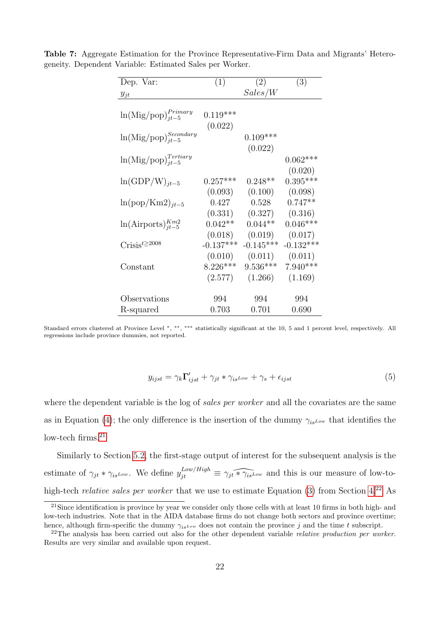| Dep. Var:                         | (1)         | (2)                  | (3)                   |
|-----------------------------------|-------------|----------------------|-----------------------|
| $y_{jt}$                          |             | Sales/W              |                       |
|                                   |             |                      |                       |
| $\ln(Mig/pop)_{it-5}^{Primary}$   | $0.119***$  |                      |                       |
|                                   | (0.022)     |                      |                       |
| $\ln(Mig/pop)_{jt-5}^{Secondary}$ |             | $0.109***$           |                       |
|                                   |             | (0.022)              |                       |
| $\ln(Mig/pop)^{Tertiary}_{jt-5}$  |             |                      | $0.062***$            |
|                                   |             |                      | (0.020)               |
| $ln(GDP/W)_{it-5}$                | $0.257***$  | $0.248**$            | $0.395***$            |
|                                   | (0.093)     | (0.100)              | (0.098)               |
| $ln(pop/Km2)_{it-5}$              | 0.427       | 0.528                | $0.747**$             |
|                                   | (0.331)     |                      |                       |
|                                   | $0.042**$   | (0.327)<br>$0.044**$ | (0.316)<br>$0.046***$ |
| $ln(Airports)_{it-5}^{Km2}$       |             |                      |                       |
|                                   | (0.018)     | (0.019)              | (0.017)               |
| $\text{Crisis}^{t\geq 2008}$      | $-0.137***$ | $-0.145***$          | $-0.132***$           |
|                                   | (0.010)     | (0.011)              | (0.011)               |
| $\text{Constant}$                 | $8.226***$  | $9.536***$           | $7.940***$            |
|                                   | (2.577)     | (1.266)              | (1.169)               |
|                                   |             |                      |                       |
| Observations                      | 994         | 994                  | 994                   |
| R-squared                         | 0.703       | 0.701                | 0.690                 |

<span id="page-22-0"></span>Table 7: Aggregate Estimation for the Province Representative-Firm Data and Migrants' Heterogeneity. Dependent Variable: Estimated Sales per Worker.

$$
y_{ijst} = \gamma_k \Gamma'_{ijst} + \gamma_{jt} * \gamma_{is} \nu_{\nu} + \gamma_s + \epsilon_{ijst}
$$
\n<sup>(5)</sup>

where the dependent variable is the log of *sales per worker* and all the covariates are the same as in Equation [\(4\)](#page-16-1); the only difference is the insertion of the dummy  $\gamma_{is}L_{ow}$  that identifies the low-tech firms. $21$ 

Similarly to Section [5.2,](#page-16-0) the first-stage output of interest for the subsequent analysis is the estimate of  $\gamma_{jt} * \gamma_{isLow}$ . We define  $y_{jt}^{Low/High} \equiv \gamma_{jt} \widehat{*_j_{isLow}}$  and this is our measure of low-tohigh-tech *relative sales per worker* that we use to estimate Equation [\(3\)](#page-15-1) from Section [4.](#page-12-0)<sup>[22](#page-1-0)</sup> As

Standard errors clustered at Province Level \*, \*\*, \*\*\* statistically significant at the 10, 5 and 1 percent level, respectively. All regressions include province dummies, not reported.

<sup>&</sup>lt;sup>21</sup>Since identification is province by year we consider only those cells with at least 10 firms in both high- and low-tech industries. Note that in the AIDA database firms do not change both sectors and province overtime; hence, although firm-specific the dummy  $\gamma_{is\omega}$  does not contain the province j and the time t subscript.

<sup>&</sup>lt;sup>22</sup>The analysis has been carried out also for the other dependent variable *relative production per worker*. Results are very similar and available upon request.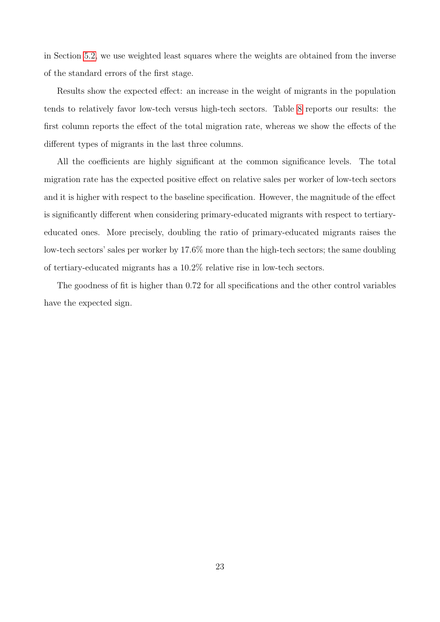in Section [5.2,](#page-16-0) we use weighted least squares where the weights are obtained from the inverse of the standard errors of the first stage.

Results show the expected effect: an increase in the weight of migrants in the population tends to relatively favor low-tech versus high-tech sectors. Table [8](#page-24-0) reports our results: the first column reports the effect of the total migration rate, whereas we show the effects of the different types of migrants in the last three columns.

All the coefficients are highly significant at the common significance levels. The total migration rate has the expected positive effect on relative sales per worker of low-tech sectors and it is higher with respect to the baseline specification. However, the magnitude of the effect is significantly different when considering primary-educated migrants with respect to tertiaryeducated ones. More precisely, doubling the ratio of primary-educated migrants raises the low-tech sectors' sales per worker by 17.6% more than the high-tech sectors; the same doubling of tertiary-educated migrants has a 10.2% relative rise in low-tech sectors.

The goodness of fit is higher than 0.72 for all specifications and the other control variables have the expected sign.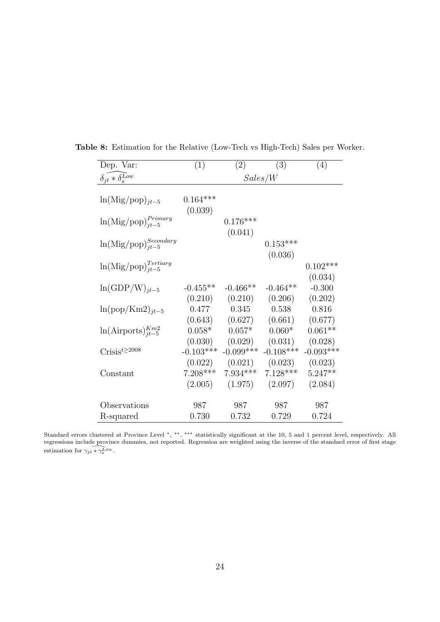| Dep. Var:                                 | (1)         | (2)                 | (3)         | (4)         |  |
|-------------------------------------------|-------------|---------------------|-------------|-------------|--|
| $\delta_{jt} * \delta_{s}^{Low}$          |             | Sales/W             |             |             |  |
|                                           |             |                     |             |             |  |
| $ln(Mig/pop)_{it-5}$                      | $0.164***$  |                     |             |             |  |
|                                           | (0.039)     |                     |             |             |  |
| $\ln(Mig/pop)^{Primary}_{jt-5}$           |             | $0.176***$          |             |             |  |
|                                           |             | (0.041)             |             |             |  |
| $\ln(Mig/pop)^{Secondary}_{it-5}$         |             |                     | $0.153***$  |             |  |
|                                           |             |                     | (0.036)     |             |  |
| $\ln(\mathrm{Mig/pop})^{Tertiary}_{jt-5}$ |             |                     |             | $0.102***$  |  |
|                                           |             |                     |             | (0.034)     |  |
| $ln(GDP/W)_{jt-5}$                        | $-0.455**$  | $-0.466**$          | $-0.464**$  | $-0.300$    |  |
|                                           | (0.210)     | (0.210)             | (0.206)     | (0.202)     |  |
| $\ln(\text{pop}/\text{Km2})_{jt-5}$       | 0.477       | 0.345               | 0.538       | 0.816       |  |
|                                           | (0.643)     | (0.627)             | (0.661)     | (0.677)     |  |
| $ln(Airports)_{it-5}^{Km2}$               | $0.058*$    | $0.057*$            | $0.060*$    | $0.061**$   |  |
|                                           | (0.030)     | (0.029)             | (0.031)     | (0.028)     |  |
| $\text{Crisis}^{t\geq 2008}$              | $-0.103***$ | $-0.099***$         | $-0.108***$ | $-0.093***$ |  |
|                                           | (0.022)     | (0.021)             | (0.023)     | (0.023)     |  |
| Constant                                  | $7.208***$  | $7.934***$          | $7.128***$  | $5.247**$   |  |
|                                           |             | $(2.005)$ $(1.975)$ | (2.097)     | (2.084)     |  |
|                                           |             |                     |             |             |  |
| Observations                              | 987         | 987                 | 987         | 987         |  |
| R-squared                                 | 0.730       | 0.732               | 0.729       | 0.724       |  |

<span id="page-24-0"></span>Table 8: Estimation for the Relative (Low-Tech vs High-Tech) Sales per Worker.

Standard errors clustered at Province Level \*, \*\*, \*\*\* statistically significant at the 10, 5 and 1 percent level, respectively. All regressions include province dummies, not reported. Regression are weighted using the inverse of the standard error of first stage estimation for  $\gamma_{jt} * \gamma_s^L^{ow}$ .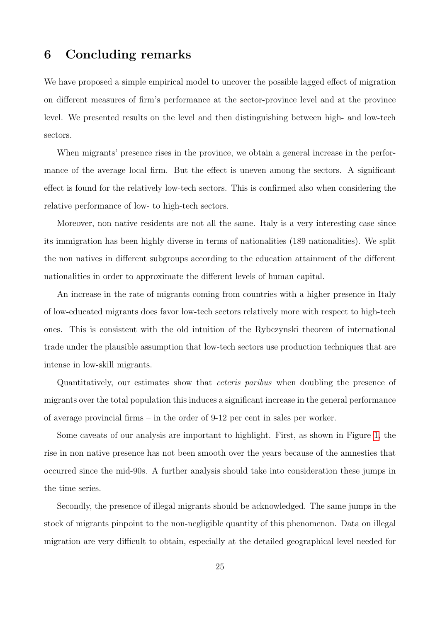#### <span id="page-25-0"></span>6 Concluding remarks

We have proposed a simple empirical model to uncover the possible lagged effect of migration on different measures of firm's performance at the sector-province level and at the province level. We presented results on the level and then distinguishing between high- and low-tech sectors.

When migrants' presence rises in the province, we obtain a general increase in the performance of the average local firm. But the effect is uneven among the sectors. A significant effect is found for the relatively low-tech sectors. This is confirmed also when considering the relative performance of low- to high-tech sectors.

Moreover, non native residents are not all the same. Italy is a very interesting case since its immigration has been highly diverse in terms of nationalities (189 nationalities). We split the non natives in different subgroups according to the education attainment of the different nationalities in order to approximate the different levels of human capital.

An increase in the rate of migrants coming from countries with a higher presence in Italy of low-educated migrants does favor low-tech sectors relatively more with respect to high-tech ones. This is consistent with the old intuition of the Rybczynski theorem of international trade under the plausible assumption that low-tech sectors use production techniques that are intense in low-skill migrants.

Quantitatively, our estimates show that ceteris paribus when doubling the presence of migrants over the total population this induces a significant increase in the general performance of average provincial firms – in the order of 9-12 per cent in sales per worker.

Some caveats of our analysis are important to highlight. First, as shown in Figure [1,](#page-8-0) the rise in non native presence has not been smooth over the years because of the amnesties that occurred since the mid-90s. A further analysis should take into consideration these jumps in the time series.

Secondly, the presence of illegal migrants should be acknowledged. The same jumps in the stock of migrants pinpoint to the non-negligible quantity of this phenomenon. Data on illegal migration are very difficult to obtain, especially at the detailed geographical level needed for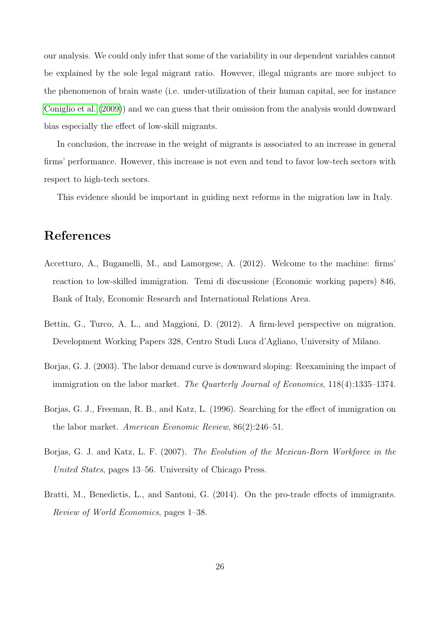our analysis. We could only infer that some of the variability in our dependent variables cannot be explained by the sole legal migrant ratio. However, illegal migrants are more subject to the phenomenon of brain waste (i.e. under-utilization of their human capital, see for instance [Coniglio et al.](#page-27-10) [\(2009\)](#page-27-10)) and we can guess that their omission from the analysis would downward bias especially the effect of low-skill migrants.

In conclusion, the increase in the weight of migrants is associated to an increase in general firms' performance. However, this increase is not even and tend to favor low-tech sectors with respect to high-tech sectors.

This evidence should be important in guiding next reforms in the migration law in Italy.

#### References

- <span id="page-26-2"></span>Accetturo, A., Bugamelli, M., and Lamorgese, A. (2012). Welcome to the machine: firms' reaction to low-skilled immigration. Temi di discussione (Economic working papers) 846, Bank of Italy, Economic Research and International Relations Area.
- <span id="page-26-3"></span>Bettin, G., Turco, A. L., and Maggioni, D. (2012). A firm-level perspective on migration. Development Working Papers 328, Centro Studi Luca d'Agliano, University of Milano.
- <span id="page-26-0"></span>Borjas, G. J. (2003). The labor demand curve is downward sloping: Reexamining the impact of immigration on the labor market. The Quarterly Journal of Economics, 118(4):1335–1374.
- <span id="page-26-4"></span>Borjas, G. J., Freeman, R. B., and Katz, L. (1996). Searching for the effect of immigration on the labor market. American Economic Review, 86(2):246–51.
- <span id="page-26-1"></span>Borjas, G. J. and Katz, L. F. (2007). The Evolution of the Mexican-Born Workforce in the United States, pages 13–56. University of Chicago Press.
- <span id="page-26-5"></span>Bratti, M., Benedictis, L., and Santoni, G. (2014). On the pro-trade effects of immigrants. Review of World Economics, pages 1–38.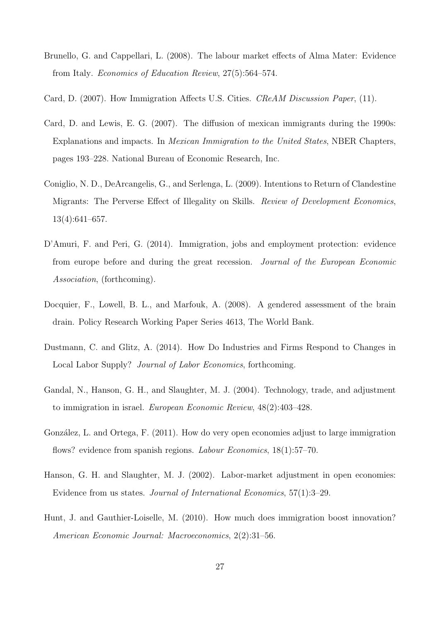- <span id="page-27-8"></span>Brunello, G. and Cappellari, L. (2008). The labour market effects of Alma Mater: Evidence from Italy. Economics of Education Review, 27(5):564–574.
- <span id="page-27-0"></span>Card, D. (2007). How Immigration Affects U.S. Cities. CReAM Discussion Paper, (11).
- <span id="page-27-4"></span>Card, D. and Lewis, E. G. (2007). The diffusion of mexican immigrants during the 1990s: Explanations and impacts. In Mexican Immigration to the United States, NBER Chapters, pages 193–228. National Bureau of Economic Research, Inc.
- <span id="page-27-10"></span>Coniglio, N. D., DeArcangelis, G., and Serlenga, L. (2009). Intentions to Return of Clandestine Migrants: The Perverse Effect of Illegality on Skills. Review of Development Economics, 13(4):641–657.
- <span id="page-27-1"></span>D'Amuri, F. and Peri, G. (2014). Immigration, jobs and employment protection: evidence from europe before and during the great recession. Journal of the European Economic Association, (forthcoming).
- <span id="page-27-9"></span>Docquier, F., Lowell, B. L., and Marfouk, A. (2008). A gendered assessment of the brain drain. Policy Research Working Paper Series 4613, The World Bank.
- <span id="page-27-6"></span>Dustmann, C. and Glitz, A. (2014). How Do Industries and Firms Respond to Changes in Local Labor Supply? Journal of Labor Economics, forthcoming.
- <span id="page-27-3"></span>Gandal, N., Hanson, G. H., and Slaughter, M. J. (2004). Technology, trade, and adjustment to immigration in israel. European Economic Review, 48(2):403–428.
- <span id="page-27-5"></span>González, L. and Ortega, F. (2011). How do very open economies adjust to large immigration flows? evidence from spanish regions. *Labour Economics*,  $18(1):57-70$ .
- <span id="page-27-2"></span>Hanson, G. H. and Slaughter, M. J. (2002). Labor-market adjustment in open economies: Evidence from us states. Journal of International Economics, 57(1):3–29.
- <span id="page-27-7"></span>Hunt, J. and Gauthier-Loiselle, M. (2010). How much does immigration boost innovation? American Economic Journal: Macroeconomics, 2(2):31–56.